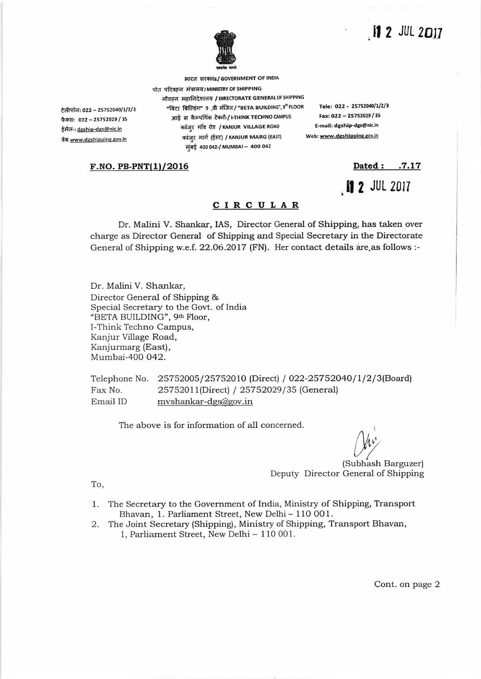## $12$  JUL 2017



भारत सरकार¤/ GOVERNMENT OF INDIA

टेलीफोन: 022 - 25752040/1/2/3 फैक्स: 022 - 25752029 / 35 ईमेल-: dgship-dgs@nic.in तेब: www.dgshipping.gov.in

पोत परिवहन मंत्रालय/MINISTRY OF SHIPPING नौवहन महानिदेशालय / DIRECTORATE GENERAL OF SHIPPING "बिटा बिल्डिंग" 9 ,वी मंजिल / "BETA BUILDING", 9th FLOOR आई स कैम्पयिंक टेक्नो-/ I-THINK TECHNO CAMPUS कांज़र गाॅव रोड / KANJUR VILLAGE ROAD कांजुर मार्ग (ईस्ट) / KANJUR MARG (EAST) मुंबई 400 042-/ MUMBAI - 400 042

Tele: 022 - 25752040/1/2/3 Fax: 022 - 25752029 / 35 E-mail: dgship-dgs@nic.in Web: www.dgshipping.gov.in

## $F.NO.$  PB-PNT $(1)/2016$

Dated: .7.17 **12 JUL 2017** 

## CIRCULAR

Dr. Malini V. Shankar, IAS, Director General of Shipping, has taken over charge as Director General of Shipping and Special Secretary in the Directorate General of Shipping w.e.f. 22.06.2017 (FN). Her contact details are as follows :-

Dr. Malini V. Shankar, Director General of Shipping & Special Secretary to the Govt. of India "BETA BUILDING', 9th Floor, I-Think Techno Campus, Kanjur Village Road, Kanjurmarg (East), Mumbai-400 042.

Telephone No. 25752005/25752010 (Direct) / 022-25752040/1/2/3(Board)<br>Fax No. 25752011(Direct) / 25752029/35 (General) Fax No. 25752011(Direct) / 25752029/35 (General)<br>Email ID myshankar-dgs@gov.in mvshankar-dgs@gov.in

The above is for information of all concerned.

 $U^{\prime\prime}$ 

(Subhash Barguzer) Deputy Director General of Shipping

To,

- 1. The Secretaqr to the Government of India, Ministry of Shipping, Transport Bhavan, 1. Parliament Street, New Delhi - 110 001.
- 2. The Joint Secretary (Shipping), Ministry of Shipping, Transport Bhavan, 1, Parliament Street, New Delhi - 110 001.

Cont. on page 2